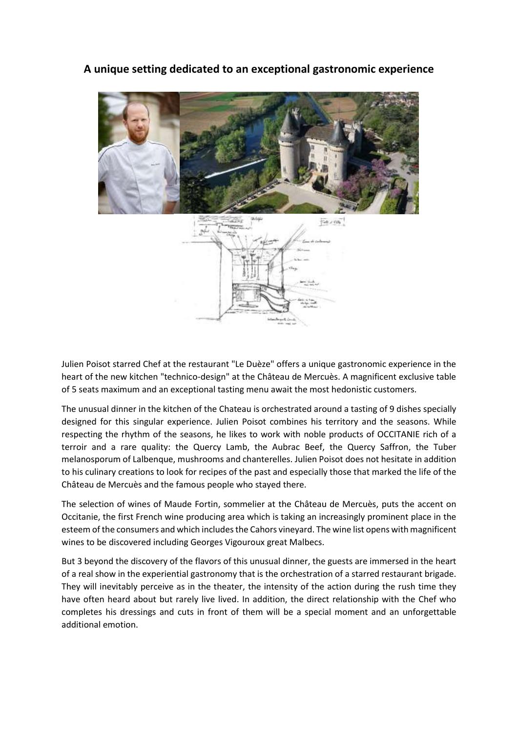**A unique setting dedicated to an exceptional gastronomic experience**



Julien Poisot starred Chef at the restaurant "Le Duèze" offers a unique gastronomic experience in the heart of the new kitchen "technico-design" at the Château de Mercuès. A magnificent exclusive table of 5 seats maximum and an exceptional tasting menu await the most hedonistic customers.

The unusual dinner in the kitchen of the Chateau is orchestrated around a tasting of 9 dishes specially designed for this singular experience. Julien Poisot combines his territory and the seasons. While respecting the rhythm of the seasons, he likes to work with noble products of OCCITANIE rich of a terroir and a rare quality: the Quercy Lamb, the Aubrac Beef, the Quercy Saffron, the Tuber melanosporum of Lalbenque, mushrooms and chanterelles. Julien Poisot does not hesitate in addition to his culinary creations to look for recipes of the past and especially those that marked the life of the Château de Mercuès and the famous people who stayed there.

The selection of wines of Maude Fortin, sommelier at the Château de Mercuès, puts the accent on Occitanie, the first French wine producing area which is taking an increasingly prominent place in the esteem of the consumers and which includes the Cahors vineyard. The wine list opens with magnificent wines to be discovered including Georges Vigouroux great Malbecs.

But 3 beyond the discovery of the flavors of this unusual dinner, the guests are immersed in the heart of a real show in the experiential gastronomy that is the orchestration of a starred restaurant brigade. They will inevitably perceive as in the theater, the intensity of the action during the rush time they have often heard about but rarely live lived. In addition, the direct relationship with the Chef who completes his dressings and cuts in front of them will be a special moment and an unforgettable additional emotion.